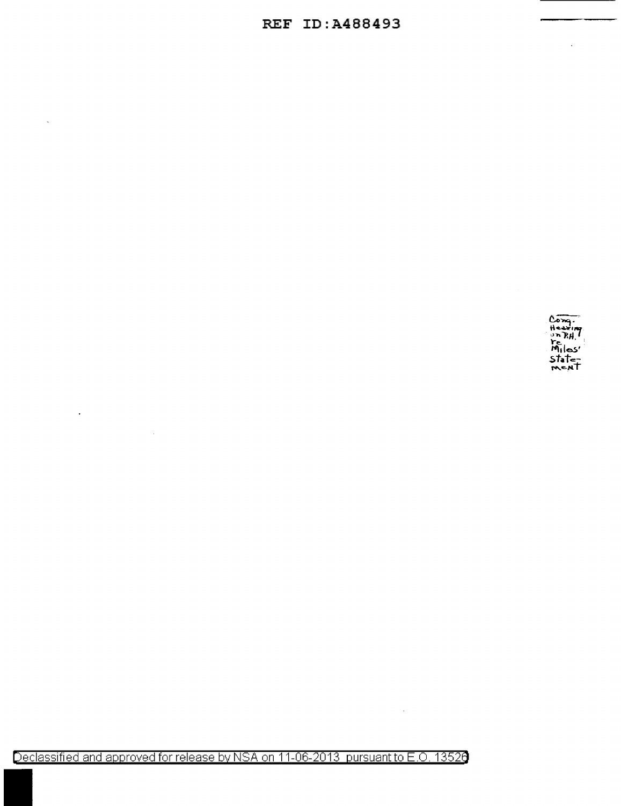## **REF ID:A488493**



 $\ddot{\phantom{a}}$ 

Declassified and approved for release by NSA on 11-06-2013 pursuant to E.O. 13526

 $\ddot{\phantom{a}}$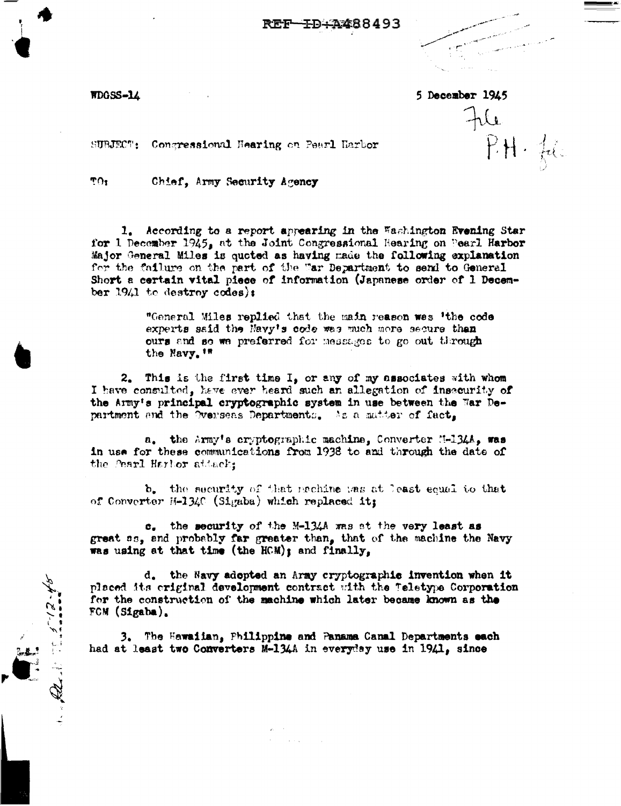<del>I</del>D+A488493

WDGSS-14

5 December 1945

 $\pi$ 

 $PH.$  for

SUBJECT: Congressional Hearing on Pearl Harbor

TO<sub>1</sub>

Chief, Army Security Agency

1. According to a report appearing in the Washington Evening Star for 1 December 1945, at the Joint Congressional Hearing on Pearl Harbor Major General Miles is quoted as having made the following explanation for the failure on the part of the "ar Department to send to General Short a certain vital piece of information (Japanese order of 1 December 1941 to destroy codes):

> "General Miles replied that the main reason was 'the code experts said the Navy's code was much more secure than ours and so we preferred for messages to go out through the Navy. '"

 $2,$ This is the first time I, or any of my associates with whom I have consulted, have ever heard such an allegation of insecurity of the Army's principal cryptographic system in use between the War Department and the Overseas Departments. As a matter of fact,

a. the Army's cryptographic machine, Converter N-134A, was in use for these communications from 1938 to and through the date of the Pearl Harbor attack;

b. the security of that mechine was at least equal to that of Converter H-1340 (Sigaba) which replaced it;

c. the security of the M-134A was at the very least as great ss, and probably far greater than, that of the machine the Navy was using at that time (the HCM); and finally,

d. the Navy adopted an Army cryptographic invention when it placed its criginal development contract with the Teletype Corporation for the construction of the machine which later became known as the FCM (Sigaba).

3. The Hawaiian, Philippine and Panama Canal Departments each had at least two Converters M-134A in everyday use in 1941, since